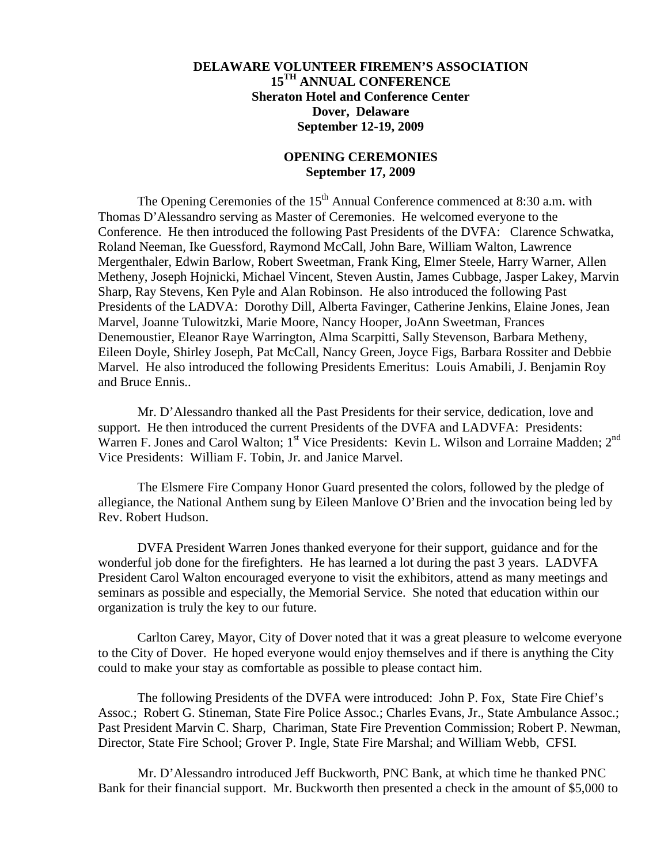## **DELAWARE VOLUNTEER FIREMEN'S ASSOCIATION 15TH ANNUAL CONFERENCE Sheraton Hotel and Conference Center Dover, Delaware September 12-19, 2009**

## **OPENING CEREMONIES September 17, 2009**

The Opening Ceremonies of the  $15<sup>th</sup>$  Annual Conference commenced at 8:30 a.m. with Thomas D'Alessandro serving as Master of Ceremonies. He welcomed everyone to the Conference. He then introduced the following Past Presidents of the DVFA: Clarence Schwatka, Roland Neeman, Ike Guessford, Raymond McCall, John Bare, William Walton, Lawrence Mergenthaler, Edwin Barlow, Robert Sweetman, Frank King, Elmer Steele, Harry Warner, Allen Metheny, Joseph Hojnicki, Michael Vincent, Steven Austin, James Cubbage, Jasper Lakey, Marvin Sharp, Ray Stevens, Ken Pyle and Alan Robinson. He also introduced the following Past Presidents of the LADVA: Dorothy Dill, Alberta Favinger, Catherine Jenkins, Elaine Jones, Jean Marvel, Joanne Tulowitzki, Marie Moore, Nancy Hooper, JoAnn Sweetman, Frances Denemoustier, Eleanor Raye Warrington, Alma Scarpitti, Sally Stevenson, Barbara Metheny, Eileen Doyle, Shirley Joseph, Pat McCall, Nancy Green, Joyce Figs, Barbara Rossiter and Debbie Marvel. He also introduced the following Presidents Emeritus: Louis Amabili, J. Benjamin Roy and Bruce Ennis..

 Mr. D'Alessandro thanked all the Past Presidents for their service, dedication, love and support. He then introduced the current Presidents of the DVFA and LADVFA: Presidents: Warren F. Jones and Carol Walton; 1<sup>st</sup> Vice Presidents: Kevin L. Wilson and Lorraine Madden; 2<sup>nd</sup> Vice Presidents: William F. Tobin, Jr. and Janice Marvel.

 The Elsmere Fire Company Honor Guard presented the colors, followed by the pledge of allegiance, the National Anthem sung by Eileen Manlove O'Brien and the invocation being led by Rev. Robert Hudson.

 DVFA President Warren Jones thanked everyone for their support, guidance and for the wonderful job done for the firefighters. He has learned a lot during the past 3 years. LADVFA President Carol Walton encouraged everyone to visit the exhibitors, attend as many meetings and seminars as possible and especially, the Memorial Service. She noted that education within our organization is truly the key to our future.

 Carlton Carey, Mayor, City of Dover noted that it was a great pleasure to welcome everyone to the City of Dover. He hoped everyone would enjoy themselves and if there is anything the City could to make your stay as comfortable as possible to please contact him.

 The following Presidents of the DVFA were introduced: John P. Fox, State Fire Chief's Assoc.; Robert G. Stineman, State Fire Police Assoc.; Charles Evans, Jr., State Ambulance Assoc.; Past President Marvin C. Sharp, Chariman, State Fire Prevention Commission; Robert P. Newman, Director, State Fire School; Grover P. Ingle, State Fire Marshal; and William Webb, CFSI.

 Mr. D'Alessandro introduced Jeff Buckworth, PNC Bank, at which time he thanked PNC Bank for their financial support. Mr. Buckworth then presented a check in the amount of \$5,000 to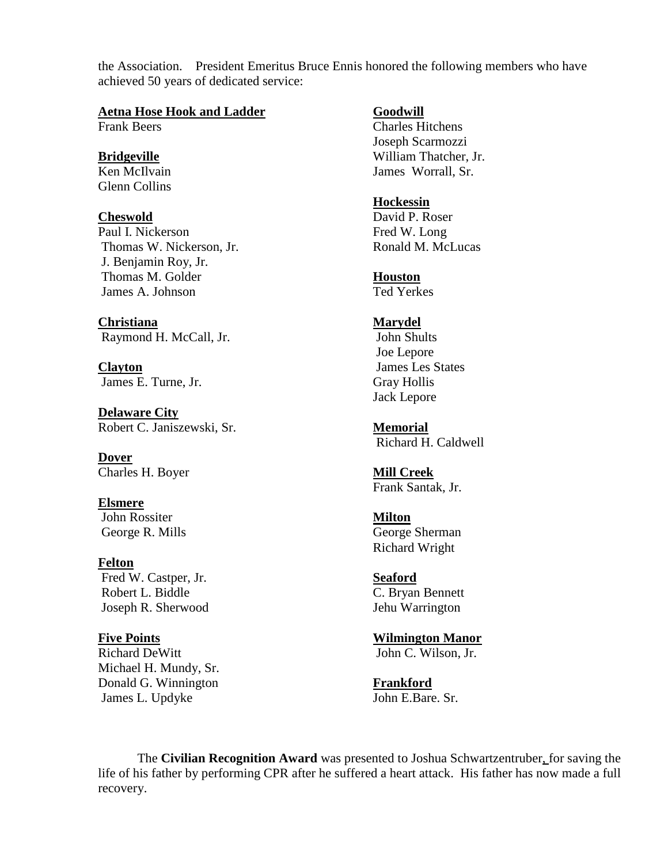the Association. President Emeritus Bruce Ennis honored the following members who have achieved 50 years of dedicated service:

**Aetna Hose Hook and Ladder Goodwill Frank Beers Goodwill** 

Glenn Collins

Paul I. Nickerson Fred W. Long Thomas W. Nickerson, Jr. Ronald M. McLucas J. Benjamin Roy, Jr. Thomas M. Golder **Houston** James A. Johnson Ted Yerkes

**Christiana Marydel** Raymond H. McCall, Jr. John Shults

**Clayton** James Les States James E. Turne, Jr. Gray Hollis

**Delaware City** Robert C. Janiszewski, Sr. **Memorial**

**Dover** Charles H. Boyer **Mill Creek**

**Elsmere** John Rossiter **Milton** George R. Mills George Sherman

**Felton** Fred W. Castper, Jr. **Seaford** Robert L. Biddle C. Bryan Bennett Joseph R. Sherwood Jehu Warrington

**Five Points Wilmington Manor** Richard DeWitt John C. Wilson, Jr. Michael H. Mundy, Sr. Donald G. Winnington **Frankford** James L. Updyke John E.Bare. Sr.

 $\overline{\text{Charles Hitchens}}$  Joseph Scarmozzi **Bridgeville** William Thatcher, Jr. Ken McIlvain James Worrall, Sr.

# **Hockessin**

**Cheswold** David P. Roser

 Joe Lepore Jack Lepore

Richard H. Caldwell

Frank Santak, Jr.

Richard Wright

 The **Civilian Recognition Award** was presented to Joshua Schwartzentruber, for saving the life of his father by performing CPR after he suffered a heart attack. His father has now made a full recovery.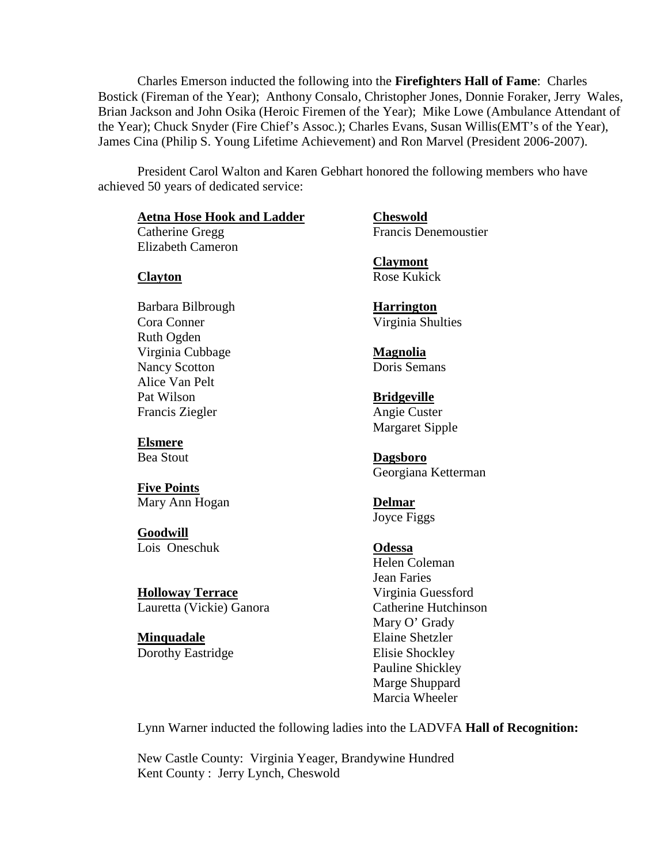Charles Emerson inducted the following into the **Firefighters Hall of Fame**: Charles Bostick (Fireman of the Year); Anthony Consalo, Christopher Jones, Donnie Foraker, Jerry Wales, Brian Jackson and John Osika (Heroic Firemen of the Year); Mike Lowe (Ambulance Attendant of the Year); Chuck Snyder (Fire Chief's Assoc.); Charles Evans, Susan Willis(EMT's of the Year), James Cina (Philip S. Young Lifetime Achievement) and Ron Marvel (President 2006-2007).

 President Carol Walton and Karen Gebhart honored the following members who have achieved 50 years of dedicated service:

### **Aetna Hose Hook and Ladder Cheswold**

Elizabeth Cameron

Barbara Bilbrough **Harrington** Cora Conner Virginia Shulties Ruth Ogden Virginia Cubbage **Magnolia** Nancy Scotton Doris Semans Alice Van Pelt Pat Wilson **Bridgeville** Francis Ziegler Angie Custer

**Elsmere**

**Five Points** Mary Ann Hogan **Delmar**

**Goodwill** Lois Oneschuk **Odessa**

**Holloway Terrace** Virginia Guessford Lauretta (Vickie) Ganora Catherine Hutchinson

**Minquadale** Elaine Shetzler Dorothy Eastridge Elisie Shockley

Catherine Gregg Francis Denemoustier

**Claymont Clayton** Rose Kukick

Margaret Sipple

Bea Stout **Dagsboro** Georgiana Ketterman

Joyce Figgs

 Helen Coleman Jean Faries Mary O' Grady Pauline Shickley Marge Shuppard Marcia Wheeler

Lynn Warner inducted the following ladies into the LADVFA **Hall of Recognition:**

New Castle County: Virginia Yeager, Brandywine Hundred Kent County : Jerry Lynch, Cheswold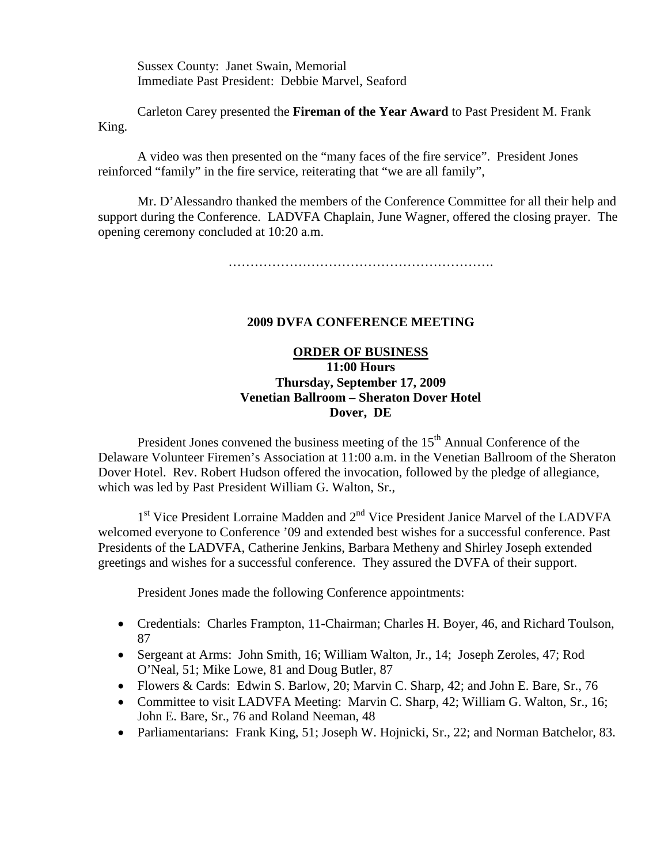Sussex County: Janet Swain, Memorial Immediate Past President: Debbie Marvel, Seaford

 Carleton Carey presented the **Fireman of the Year Award** to Past President M. Frank King.

 A video was then presented on the "many faces of the fire service". President Jones reinforced "family" in the fire service, reiterating that "we are all family",

 Mr. D'Alessandro thanked the members of the Conference Committee for all their help and support during the Conference. LADVFA Chaplain, June Wagner, offered the closing prayer. The opening ceremony concluded at 10:20 a.m.

…………………………………………………………………

### **2009 DVFA CONFERENCE MEETING**

## **ORDER OF BUSINESS 11:00 Hours Thursday, September 17, 2009 Venetian Ballroom – Sheraton Dover Hotel Dover, DE**

President Jones convened the business meeting of the  $15<sup>th</sup>$  Annual Conference of the Delaware Volunteer Firemen's Association at 11:00 a.m. in the Venetian Ballroom of the Sheraton Dover Hotel. Rev. Robert Hudson offered the invocation, followed by the pledge of allegiance, which was led by Past President William G. Walton, Sr.,

 $1<sup>st</sup>$  Vice President Lorraine Madden and  $2<sup>nd</sup>$  Vice President Janice Marvel of the LADVFA welcomed everyone to Conference '09 and extended best wishes for a successful conference. Past Presidents of the LADVFA, Catherine Jenkins, Barbara Metheny and Shirley Joseph extended greetings and wishes for a successful conference. They assured the DVFA of their support.

President Jones made the following Conference appointments:

- Credentials: Charles Frampton, 11-Chairman; Charles H. Boyer, 46, and Richard Toulson, 87
- Sergeant at Arms: John Smith, 16; William Walton, Jr., 14; Joseph Zeroles, 47; Rod O'Neal, 51; Mike Lowe, 81 and Doug Butler, 87
- Flowers & Cards: Edwin S. Barlow, 20; Marvin C. Sharp, 42; and John E. Bare, Sr., 76
- Committee to visit LADVFA Meeting: Marvin C. Sharp, 42; William G. Walton, Sr., 16; John E. Bare, Sr., 76 and Roland Neeman, 48
- Parliamentarians: Frank King, 51; Joseph W. Hojnicki, Sr., 22; and Norman Batchelor, 83.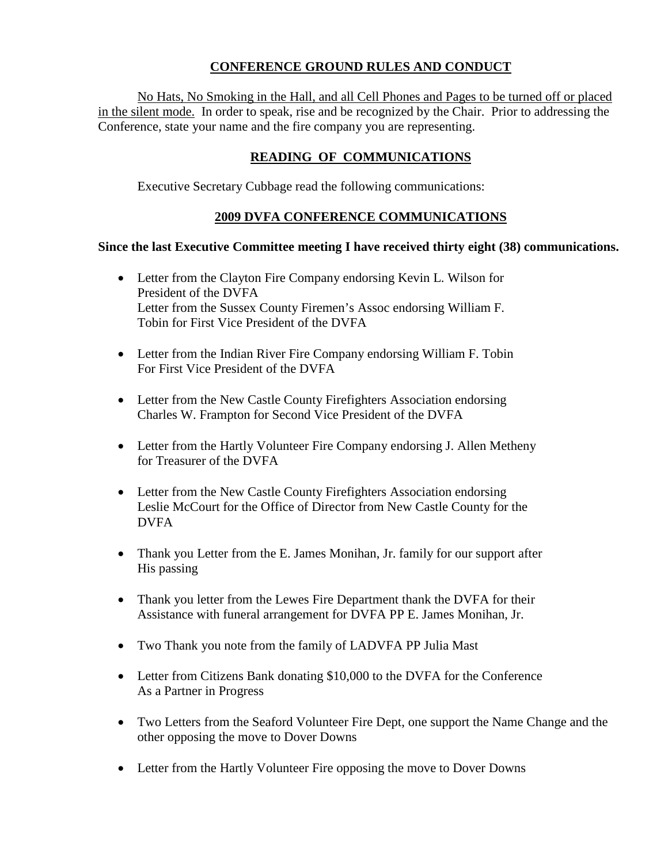# **CONFERENCE GROUND RULES AND CONDUCT**

 No Hats, No Smoking in the Hall, and all Cell Phones and Pages to be turned off or placed in the silent mode. In order to speak, rise and be recognized by the Chair. Prior to addressing the Conference, state your name and the fire company you are representing.

# **READING OF COMMUNICATIONS**

Executive Secretary Cubbage read the following communications:

## **2009 DVFA CONFERENCE COMMUNICATIONS**

## **Since the last Executive Committee meeting I have received thirty eight (38) communications.**

- Letter from the Clayton Fire Company endorsing Kevin L. Wilson for President of the DVFA Letter from the Sussex County Firemen's Assoc endorsing William F. Tobin for First Vice President of the DVFA
- Letter from the Indian River Fire Company endorsing William F. Tobin For First Vice President of the DVFA
- Letter from the New Castle County Firefighters Association endorsing Charles W. Frampton for Second Vice President of the DVFA
- Letter from the Hartly Volunteer Fire Company endorsing J. Allen Metheny for Treasurer of the DVFA
- Letter from the New Castle County Firefighters Association endorsing Leslie McCourt for the Office of Director from New Castle County for the DVFA
- Thank you Letter from the E. James Monihan, Jr. family for our support after His passing
- Thank you letter from the Lewes Fire Department thank the DVFA for their Assistance with funeral arrangement for DVFA PP E. James Monihan, Jr.
- Two Thank you note from the family of LADVFA PP Julia Mast
- Letter from Citizens Bank donating \$10,000 to the DVFA for the Conference As a Partner in Progress
- Two Letters from the Seaford Volunteer Fire Dept, one support the Name Change and the other opposing the move to Dover Downs
- Letter from the Hartly Volunteer Fire opposing the move to Dover Downs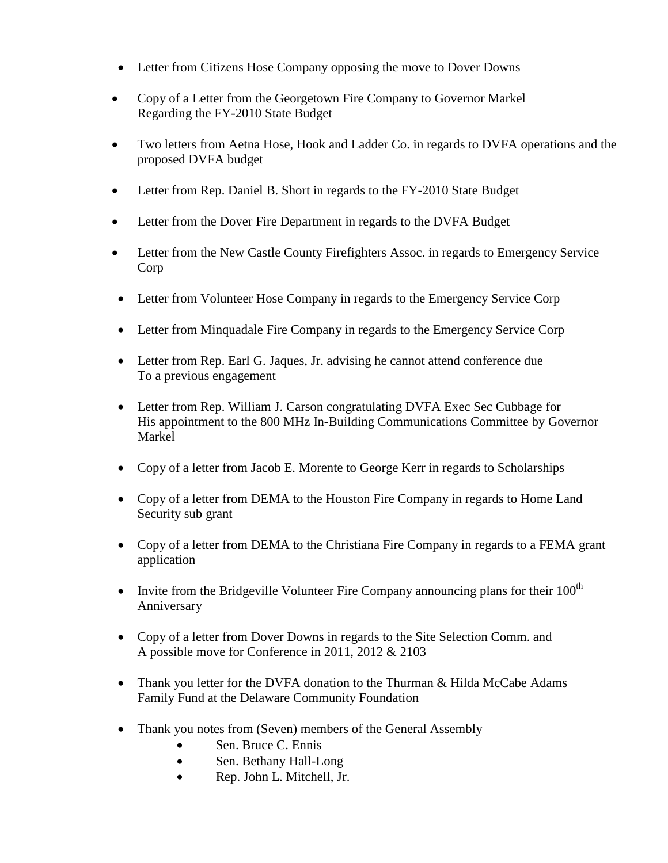- Letter from Citizens Hose Company opposing the move to Dover Downs
- Copy of a Letter from the Georgetown Fire Company to Governor Markel Regarding the FY-2010 State Budget
- Two letters from Aetna Hose, Hook and Ladder Co. in regards to DVFA operations and the proposed DVFA budget
- Letter from Rep. Daniel B. Short in regards to the FY-2010 State Budget
- Letter from the Dover Fire Department in regards to the DVFA Budget
- Letter from the New Castle County Firefighters Assoc. in regards to Emergency Service Corp
- Letter from Volunteer Hose Company in regards to the Emergency Service Corp
- Letter from Minquadale Fire Company in regards to the Emergency Service Corp
- Letter from Rep. Earl G. Jaques, Jr. advising he cannot attend conference due To a previous engagement
- Letter from Rep. William J. Carson congratulating DVFA Exec Sec Cubbage for His appointment to the 800 MHz In-Building Communications Committee by Governor Markel
- Copy of a letter from Jacob E. Morente to George Kerr in regards to Scholarships
- Copy of a letter from DEMA to the Houston Fire Company in regards to Home Land Security sub grant
- Copy of a letter from DEMA to the Christiana Fire Company in regards to a FEMA grant application
- Invite from the Bridgeville Volunteer Fire Company announcing plans for their  $100<sup>th</sup>$ Anniversary
- Copy of a letter from Dover Downs in regards to the Site Selection Comm. and A possible move for Conference in 2011, 2012 & 2103
- Thank you letter for the DVFA donation to the Thurman & Hilda McCabe Adams Family Fund at the Delaware Community Foundation
- Thank you notes from (Seven) members of the General Assembly
	- Sen. Bruce C. Ennis
	- Sen. Bethany Hall-Long
	- Rep. John L. Mitchell, Jr.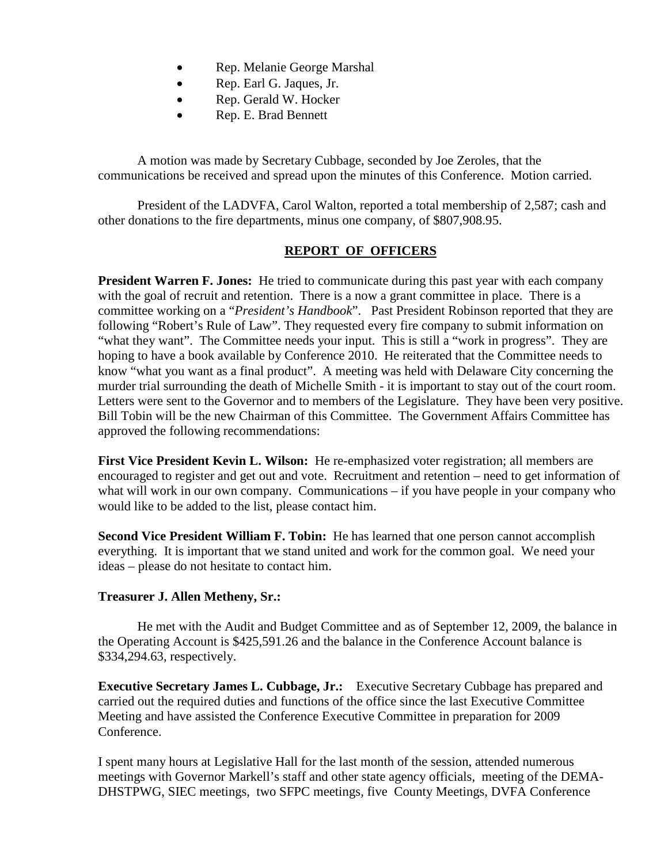- Rep. Melanie George Marshal
- Rep. Earl G. Jaques, Jr.
- Rep. Gerald W. Hocker
- Rep. E. Brad Bennett

A motion was made by Secretary Cubbage, seconded by Joe Zeroles, that the communications be received and spread upon the minutes of this Conference. Motion carried.

 President of the LADVFA, Carol Walton, reported a total membership of 2,587; cash and other donations to the fire departments, minus one company, of \$807,908.95.

## **REPORT OF OFFICERS**

**President Warren F. Jones:** He tried to communicate during this past year with each company with the goal of recruit and retention. There is a now a grant committee in place. There is a committee working on a "*President's Handbook*". Past President Robinson reported that they are following "Robert's Rule of Law". They requested every fire company to submit information on "what they want". The Committee needs your input. This is still a "work in progress". They are hoping to have a book available by Conference 2010. He reiterated that the Committee needs to know "what you want as a final product". A meeting was held with Delaware City concerning the murder trial surrounding the death of Michelle Smith - it is important to stay out of the court room. Letters were sent to the Governor and to members of the Legislature. They have been very positive. Bill Tobin will be the new Chairman of this Committee. The Government Affairs Committee has approved the following recommendations:

**First Vice President Kevin L. Wilson:** He re-emphasized voter registration; all members are encouraged to register and get out and vote. Recruitment and retention – need to get information of what will work in our own company. Communications – if you have people in your company who would like to be added to the list, please contact him.

**Second Vice President William F. Tobin:** He has learned that one person cannot accomplish everything. It is important that we stand united and work for the common goal. We need your ideas – please do not hesitate to contact him.

## **Treasurer J. Allen Metheny, Sr.:**

 He met with the Audit and Budget Committee and as of September 12, 2009, the balance in the Operating Account is \$425,591.26 and the balance in the Conference Account balance is \$334,294.63, respectively.

**Executive Secretary James L. Cubbage, Jr.:** Executive Secretary Cubbage has prepared and carried out the required duties and functions of the office since the last Executive Committee Meeting and have assisted the Conference Executive Committee in preparation for 2009 Conference.

I spent many hours at Legislative Hall for the last month of the session, attended numerous meetings with Governor Markell's staff and other state agency officials, meeting of the DEMA-DHSTPWG, SIEC meetings, two SFPC meetings, five County Meetings, DVFA Conference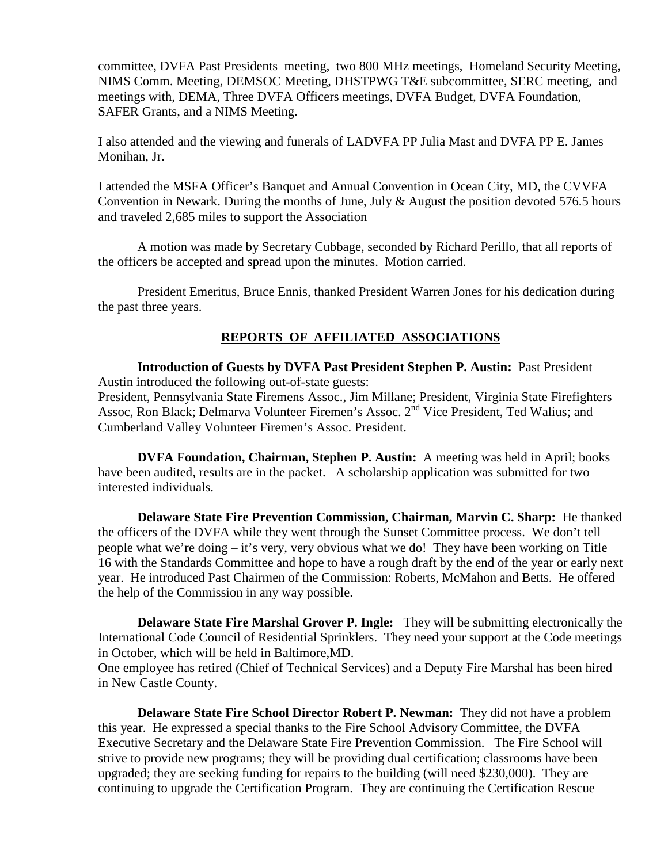committee, DVFA Past Presidents meeting, two 800 MHz meetings, Homeland Security Meeting, NIMS Comm. Meeting, DEMSOC Meeting, DHSTPWG T&E subcommittee, SERC meeting, and meetings with, DEMA, Three DVFA Officers meetings, DVFA Budget, DVFA Foundation, SAFER Grants, and a NIMS Meeting.

I also attended and the viewing and funerals of LADVFA PP Julia Mast and DVFA PP E. James Monihan, Jr.

I attended the MSFA Officer's Banquet and Annual Convention in Ocean City, MD, the CVVFA Convention in Newark. During the months of June, July & August the position devoted 576.5 hours and traveled 2,685 miles to support the Association

 A motion was made by Secretary Cubbage, seconded by Richard Perillo, that all reports of the officers be accepted and spread upon the minutes. Motion carried.

 President Emeritus, Bruce Ennis, thanked President Warren Jones for his dedication during the past three years.

# **REPORTS OF AFFILIATED ASSOCIATIONS**

**Introduction of Guests by DVFA Past President Stephen P. Austin:** Past President Austin introduced the following out-of-state guests:

President, Pennsylvania State Firemens Assoc., Jim Millane; President, Virginia State Firefighters Assoc, Ron Black; Delmarva Volunteer Firemen's Assoc. 2<sup>nd</sup> Vice President, Ted Walius; and Cumberland Valley Volunteer Firemen's Assoc. President.

**DVFA Foundation, Chairman, Stephen P. Austin:** A meeting was held in April; books have been audited, results are in the packet. A scholarship application was submitted for two interested individuals.

**Delaware State Fire Prevention Commission, Chairman, Marvin C. Sharp:** He thanked the officers of the DVFA while they went through the Sunset Committee process. We don't tell people what we're doing – it's very, very obvious what we do! They have been working on Title 16 with the Standards Committee and hope to have a rough draft by the end of the year or early next year. He introduced Past Chairmen of the Commission: Roberts, McMahon and Betts. He offered the help of the Commission in any way possible.

**Delaware State Fire Marshal Grover P. Ingle:** They will be submitting electronically the International Code Council of Residential Sprinklers. They need your support at the Code meetings in October, which will be held in Baltimore,MD.

One employee has retired (Chief of Technical Services) and a Deputy Fire Marshal has been hired in New Castle County.

**Delaware State Fire School Director Robert P. Newman:** They did not have a problem this year. He expressed a special thanks to the Fire School Advisory Committee, the DVFA Executive Secretary and the Delaware State Fire Prevention Commission. The Fire School will strive to provide new programs; they will be providing dual certification; classrooms have been upgraded; they are seeking funding for repairs to the building (will need \$230,000). They are continuing to upgrade the Certification Program. They are continuing the Certification Rescue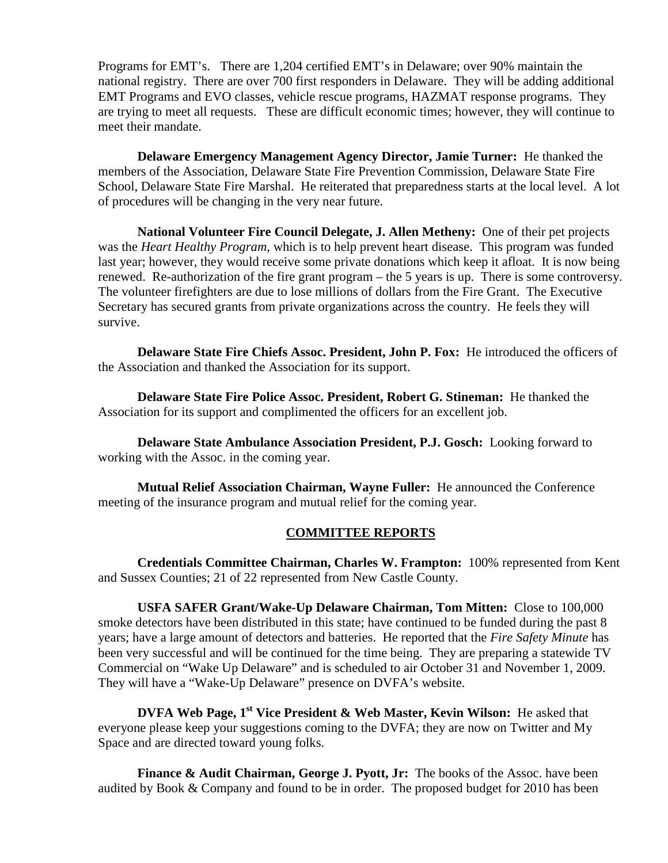Programs for EMT's. There are 1,204 certified EMT's in Delaware; over 90% maintain the national registry. There are over 700 first responders in Delaware. They will be adding additional EMT Programs and EVO classes, vehicle rescue programs, HAZMAT response programs. They are trying to meet all requests. These are difficult economic times; however, they will continue to meet their mandate.

**Delaware Emergency Management Agency Director, Jamie Turner:** He thanked the members of the Association, Delaware State Fire Prevention Commission, Delaware State Fire School, Delaware State Fire Marshal. He reiterated that preparedness starts at the local level. A lot of procedures will be changing in the very near future.

**National Volunteer Fire Council Delegate, J. Allen Metheny:** One of their pet projects was the *Heart Healthy Program*, which is to help prevent heart disease. This program was funded last year; however, they would receive some private donations which keep it afloat. It is now being renewed. Re-authorization of the fire grant program – the 5 years is up. There is some controversy. The volunteer firefighters are due to lose millions of dollars from the Fire Grant. The Executive Secretary has secured grants from private organizations across the country. He feels they will survive.

**Delaware State Fire Chiefs Assoc. President, John P. Fox:** He introduced the officers of the Association and thanked the Association for its support.

**Delaware State Fire Police Assoc. President, Robert G. Stineman:** He thanked the Association for its support and complimented the officers for an excellent job.

**Delaware State Ambulance Association President, P.J. Gosch:** Looking forward to working with the Assoc. in the coming year.

**Mutual Relief Association Chairman, Wayne Fuller:** He announced the Conference meeting of the insurance program and mutual relief for the coming year.

## **COMMITTEE REPORTS**

**Credentials Committee Chairman, Charles W. Frampton:** 100% represented from Kent and Sussex Counties; 21 of 22 represented from New Castle County.

**USFA SAFER Grant/Wake-Up Delaware Chairman, Tom Mitten:** Close to 100,000 smoke detectors have been distributed in this state; have continued to be funded during the past 8 years; have a large amount of detectors and batteries. He reported that the *Fire Safety Minute* has been very successful and will be continued for the time being. They are preparing a statewide TV Commercial on "Wake Up Delaware" and is scheduled to air October 31 and November 1, 2009. They will have a "Wake-Up Delaware" presence on DVFA's website.

**DVFA Web Page, 1st Vice President & Web Master, Kevin Wilson:** He asked that everyone please keep your suggestions coming to the DVFA; they are now on Twitter and My Space and are directed toward young folks.

**Finance & Audit Chairman, George J. Pyott, Jr:** The books of the Assoc. have been audited by Book & Company and found to be in order. The proposed budget for 2010 has been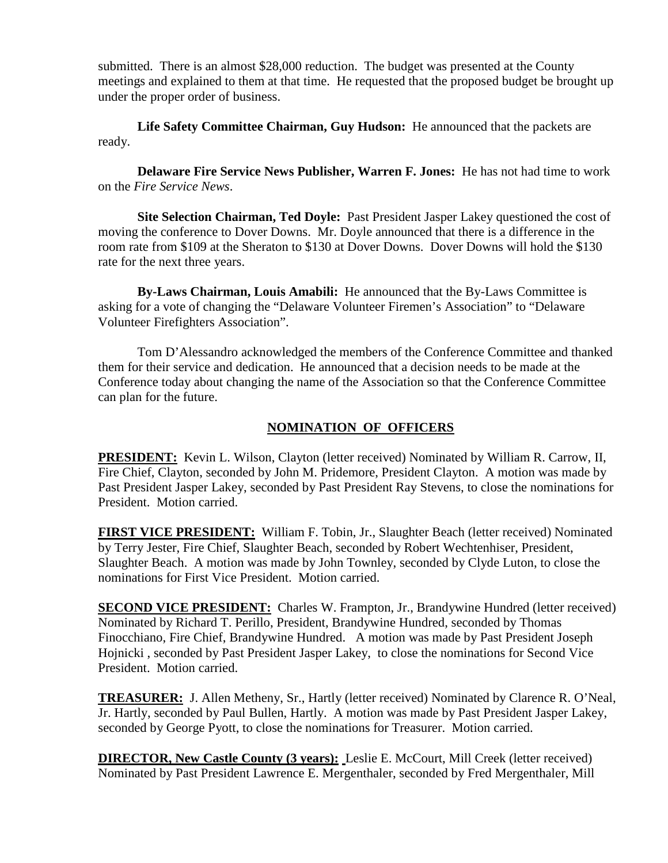submitted. There is an almost \$28,000 reduction. The budget was presented at the County meetings and explained to them at that time. He requested that the proposed budget be brought up under the proper order of business.

**Life Safety Committee Chairman, Guy Hudson:** He announced that the packets are ready.

**Delaware Fire Service News Publisher, Warren F. Jones:** He has not had time to work on the *Fire Service News*.

**Site Selection Chairman, Ted Doyle:** Past President Jasper Lakey questioned the cost of moving the conference to Dover Downs. Mr. Doyle announced that there is a difference in the room rate from \$109 at the Sheraton to \$130 at Dover Downs. Dover Downs will hold the \$130 rate for the next three years.

**By-Laws Chairman, Louis Amabili:** He announced that the By-Laws Committee is asking for a vote of changing the "Delaware Volunteer Firemen's Association" to "Delaware Volunteer Firefighters Association".

 Tom D'Alessandro acknowledged the members of the Conference Committee and thanked them for their service and dedication. He announced that a decision needs to be made at the Conference today about changing the name of the Association so that the Conference Committee can plan for the future.

# **NOMINATION OF OFFICERS**

**PRESIDENT:** Kevin L. Wilson, Clayton (letter received) Nominated by William R. Carrow, II, Fire Chief, Clayton, seconded by John M. Pridemore, President Clayton. A motion was made by Past President Jasper Lakey, seconded by Past President Ray Stevens, to close the nominations for President. Motion carried.

**FIRST VICE PRESIDENT:** William F. Tobin, Jr., Slaughter Beach (letter received) Nominated by Terry Jester, Fire Chief, Slaughter Beach, seconded by Robert Wechtenhiser, President, Slaughter Beach. A motion was made by John Townley, seconded by Clyde Luton, to close the nominations for First Vice President. Motion carried.

**SECOND VICE PRESIDENT:** Charles W. Frampton, Jr., Brandywine Hundred (letter received) Nominated by Richard T. Perillo, President, Brandywine Hundred, seconded by Thomas Finocchiano, Fire Chief, Brandywine Hundred. A motion was made by Past President Joseph Hojnicki , seconded by Past President Jasper Lakey, to close the nominations for Second Vice President. Motion carried.

**TREASURER:** J. Allen Metheny, Sr., Hartly (letter received) Nominated by Clarence R. O'Neal, Jr. Hartly, seconded by Paul Bullen, Hartly. A motion was made by Past President Jasper Lakey, seconded by George Pyott, to close the nominations for Treasurer. Motion carried.

**DIRECTOR, New Castle County (3 years):** Leslie E. McCourt, Mill Creek (letter received) Nominated by Past President Lawrence E. Mergenthaler, seconded by Fred Mergenthaler, Mill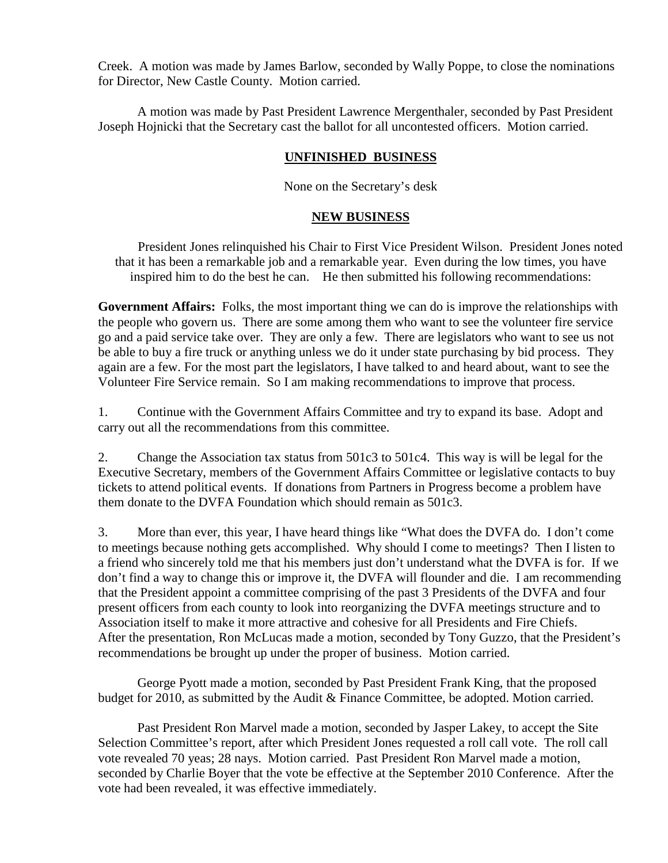Creek. A motion was made by James Barlow, seconded by Wally Poppe, to close the nominations for Director, New Castle County. Motion carried.

 A motion was made by Past President Lawrence Mergenthaler, seconded by Past President Joseph Hojnicki that the Secretary cast the ballot for all uncontested officers. Motion carried.

## **UNFINISHED BUSINESS**

None on the Secretary's desk

### **NEW BUSINESS**

 President Jones relinquished his Chair to First Vice President Wilson. President Jones noted that it has been a remarkable job and a remarkable year. Even during the low times, you have inspired him to do the best he can. He then submitted his following recommendations:

**Government Affairs:** Folks, the most important thing we can do is improve the relationships with the people who govern us. There are some among them who want to see the volunteer fire service go and a paid service take over. They are only a few. There are legislators who want to see us not be able to buy a fire truck or anything unless we do it under state purchasing by bid process. They again are a few. For the most part the legislators, I have talked to and heard about, want to see the Volunteer Fire Service remain. So I am making recommendations to improve that process.

1. Continue with the Government Affairs Committee and try to expand its base. Adopt and carry out all the recommendations from this committee.

2. Change the Association tax status from 501c3 to 501c4. This way is will be legal for the Executive Secretary, members of the Government Affairs Committee or legislative contacts to buy tickets to attend political events. If donations from Partners in Progress become a problem have them donate to the DVFA Foundation which should remain as 501c3.

3. More than ever, this year, I have heard things like "What does the DVFA do. I don't come to meetings because nothing gets accomplished. Why should I come to meetings? Then I listen to a friend who sincerely told me that his members just don't understand what the DVFA is for. If we don't find a way to change this or improve it, the DVFA will flounder and die. I am recommending that the President appoint a committee comprising of the past 3 Presidents of the DVFA and four present officers from each county to look into reorganizing the DVFA meetings structure and to Association itself to make it more attractive and cohesive for all Presidents and Fire Chiefs. After the presentation, Ron McLucas made a motion, seconded by Tony Guzzo, that the President's recommendations be brought up under the proper of business. Motion carried.

 George Pyott made a motion, seconded by Past President Frank King, that the proposed budget for 2010, as submitted by the Audit & Finance Committee, be adopted. Motion carried.

 Past President Ron Marvel made a motion, seconded by Jasper Lakey, to accept the Site Selection Committee's report, after which President Jones requested a roll call vote. The roll call vote revealed 70 yeas; 28 nays. Motion carried. Past President Ron Marvel made a motion, seconded by Charlie Boyer that the vote be effective at the September 2010 Conference. After the vote had been revealed, it was effective immediately.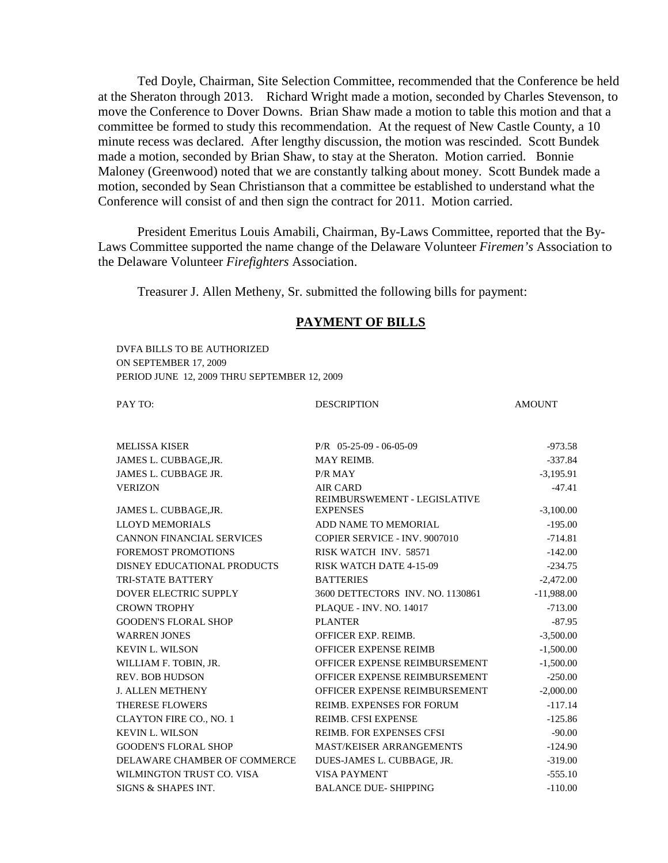Ted Doyle, Chairman, Site Selection Committee, recommended that the Conference be held at the Sheraton through 2013. Richard Wright made a motion, seconded by Charles Stevenson, to move the Conference to Dover Downs. Brian Shaw made a motion to table this motion and that a committee be formed to study this recommendation. At the request of New Castle County, a 10 minute recess was declared. After lengthy discussion, the motion was rescinded. Scott Bundek made a motion, seconded by Brian Shaw, to stay at the Sheraton. Motion carried. Bonnie Maloney (Greenwood) noted that we are constantly talking about money. Scott Bundek made a motion, seconded by Sean Christianson that a committee be established to understand what the Conference will consist of and then sign the contract for 2011. Motion carried.

 President Emeritus Louis Amabili, Chairman, By-Laws Committee, reported that the By-Laws Committee supported the name change of the Delaware Volunteer *Firemen's* Association to the Delaware Volunteer *Firefighters* Association.

Treasurer J. Allen Metheny, Sr. submitted the following bills for payment:

#### **PAYMENT OF BILLS**

 DVFA BILLS TO BE AUTHORIZED ON SEPTEMBER 17, 2009 PERIOD JUNE 12, 2009 THRU SEPTEMBER 12, 2009

PAY TO: BESCRIPTION AMOUNT

| <b>MELISSA KISER</b>             | $P/R$ 05-25-09 - 06-05-09        | $-973.58$    |
|----------------------------------|----------------------------------|--------------|
| JAMES L. CUBBAGE, JR.            | <b>MAY REIMB.</b>                | $-337.84$    |
| JAMES L. CUBBAGE JR.             | P/R MAY                          | $-3,195.91$  |
| <b>VERIZON</b>                   | <b>AIR CARD</b>                  | $-47.41$     |
|                                  | REIMBURSWEMENT - LEGISLATIVE     |              |
| JAMES L. CUBBAGE, JR.            | <b>EXPENSES</b>                  | $-3,100.00$  |
| <b>LLOYD MEMORIALS</b>           | ADD NAME TO MEMORIAL             | $-195.00$    |
| <b>CANNON FINANCIAL SERVICES</b> | COPIER SERVICE - INV. 9007010    | $-714.81$    |
| <b>FOREMOST PROMOTIONS</b>       | RISK WATCH INV. 58571            | $-142.00$    |
| DISNEY EDUCATIONAL PRODUCTS      | <b>RISK WATCH DATE 4-15-09</b>   | $-234.75$    |
| <b>TRI-STATE BATTERY</b>         | <b>BATTERIES</b>                 | $-2,472.00$  |
| <b>DOVER ELECTRIC SUPPLY</b>     | 3600 DETTECTORS INV. NO. 1130861 | $-11,988.00$ |
| <b>CROWN TROPHY</b>              | PLAQUE - INV. NO. 14017          | $-713.00$    |
| <b>GOODEN'S FLORAL SHOP</b>      | <b>PLANTER</b>                   | $-87.95$     |
| <b>WARREN JONES</b>              | <b>OFFICER EXP. REIMB.</b>       | $-3,500.00$  |
| <b>KEVIN L. WILSON</b>           | <b>OFFICER EXPENSE REIMB</b>     | $-1,500.00$  |
| WILLIAM F. TOBIN, JR.            | OFFICER EXPENSE REIMBURSEMENT    | $-1,500.00$  |
| <b>REV. BOB HUDSON</b>           | OFFICER EXPENSE REIMBURSEMENT    | $-250.00$    |
| <b>J. ALLEN METHENY</b>          | OFFICER EXPENSE REIMBURSEMENT    | $-2,000.00$  |
| <b>THERESE FLOWERS</b>           | <b>REIMB. EXPENSES FOR FORUM</b> | $-117.14$    |
| <b>CLAYTON FIRE CO., NO. 1</b>   | <b>REIMB. CFSI EXPENSE</b>       | $-125.86$    |
| <b>KEVIN L. WILSON</b>           | <b>REIMB. FOR EXPENSES CFSI</b>  | $-90.00$     |
| <b>GOODEN'S FLORAL SHOP</b>      | <b>MAST/KEISER ARRANGEMENTS</b>  | $-124.90$    |
| DELAWARE CHAMBER OF COMMERCE     | DUES-JAMES L. CUBBAGE, JR.       | $-319.00$    |
| WILMINGTON TRUST CO. VISA        | <b>VISA PAYMENT</b>              | $-555.10$    |
| SIGNS & SHAPES INT.              | <b>BALANCE DUE- SHIPPING</b>     | $-110.00$    |
|                                  |                                  |              |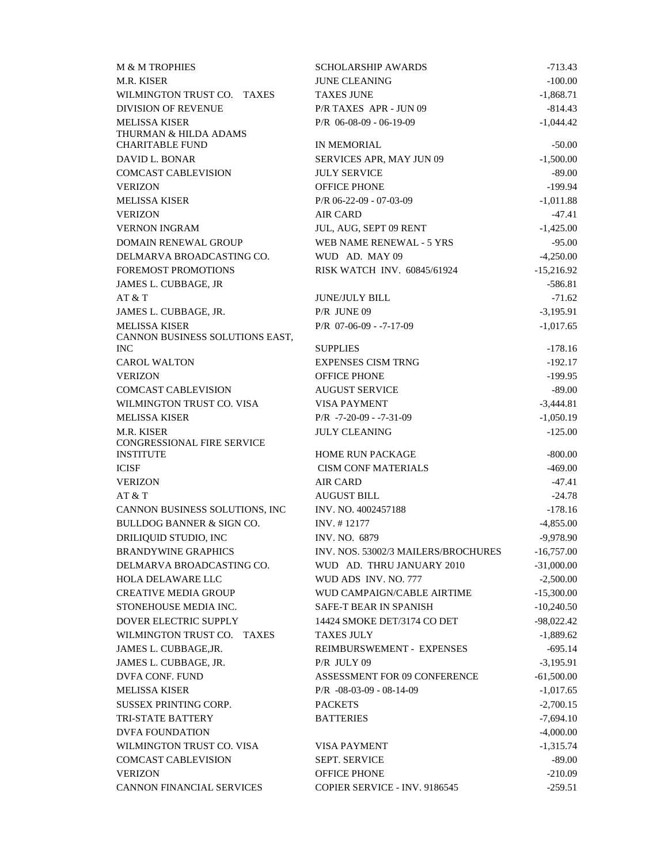| M & M TROPHIES                                | <b>SCHOLARSHIP AWARDS</b>           | $-713.43$    |
|-----------------------------------------------|-------------------------------------|--------------|
| M.R. KISER                                    | <b>JUNE CLEANING</b>                | $-100.00$    |
| WILMINGTON TRUST CO. TAXES                    | <b>TAXES JUNE</b>                   | $-1,868.71$  |
| <b>DIVISION OF REVENUE</b>                    | P/R TAXES APR - JUN 09              | $-814.43$    |
| <b>MELISSA KISER</b>                          | P/R 06-08-09 - 06-19-09             | $-1,044.42$  |
| THURMAN & HILDA ADAMS                         |                                     |              |
| <b>CHARITABLE FUND</b>                        | IN MEMORIAL                         | $-50.00$     |
| DAVID L. BONAR                                | SERVICES APR, MAY JUN 09            | $-1,500.00$  |
| <b>COMCAST CABLEVISION</b>                    | <b>JULY SERVICE</b>                 | $-89.00$     |
| <b>VERIZON</b>                                | <b>OFFICE PHONE</b>                 | $-199.94$    |
| <b>MELISSA KISER</b>                          | $P/R$ 06-22-09 - 07-03-09           | $-1,011.88$  |
| <b>VERIZON</b>                                | <b>AIR CARD</b>                     | $-47.41$     |
| <b>VERNON INGRAM</b>                          | JUL, AUG, SEPT 09 RENT              | $-1,425.00$  |
| DOMAIN RENEWAL GROUP                          | WEB NAME RENEWAL - 5 YRS            | $-95.00$     |
| DELMARVA BROADCASTING CO.                     | WUD AD. MAY 09                      | $-4,250.00$  |
| <b>FOREMOST PROMOTIONS</b>                    | RISK WATCH INV. 60845/61924         | $-15,216.92$ |
| JAMES L. CUBBAGE, JR                          |                                     | $-586.81$    |
| AT & T                                        | <b>JUNE/JULY BILL</b>               | $-71.62$     |
| JAMES L. CUBBAGE, JR.<br><b>MELISSA KISER</b> | $P/R$ JUNE 09                       | $-3,195.91$  |
| CANNON BUSINESS SOLUTIONS EAST,               | $P/R$ 07-06-09 - -7-17-09           | $-1,017.65$  |
| <b>INC</b>                                    | <b>SUPPLIES</b>                     | $-178.16$    |
| <b>CAROL WALTON</b>                           | <b>EXPENSES CISM TRNG</b>           | $-192.17$    |
| <b>VERIZON</b>                                | <b>OFFICE PHONE</b>                 | $-199.95$    |
| <b>COMCAST CABLEVISION</b>                    | <b>AUGUST SERVICE</b>               | $-89.00$     |
| WILMINGTON TRUST CO. VISA                     | <b>VISA PAYMENT</b>                 | $-3,444.81$  |
| <b>MELISSA KISER</b>                          | $P/R - 7 - 20 - 09 - -7 - 31 - 09$  | $-1,050.19$  |
| M.R. KISER<br>CONGRESSIONAL FIRE SERVICE      | <b>JULY CLEANING</b>                | $-125.00$    |
| <b>INSTITUTE</b>                              | <b>HOME RUN PACKAGE</b>             | $-800.00$    |
| <b>ICISF</b>                                  | <b>CISM CONF MATERIALS</b>          | $-469.00$    |
| <b>VERIZON</b>                                | <b>AIR CARD</b>                     | $-47.41$     |
| AT & T                                        | <b>AUGUST BILL</b>                  | $-24.78$     |
| CANNON BUSINESS SOLUTIONS, INC                | INV. NO. 4002457188                 | $-178.16$    |
| <b>BULLDOG BANNER &amp; SIGN CO.</b>          | INV. #12177                         | $-4,855.00$  |
| DRILIQUID STUDIO, INC                         | INV. NO. 6879                       | $-9,978.90$  |
| <b>BRANDYWINE GRAPHICS</b>                    | INV. NOS. 53002/3 MAILERS/BROCHURES | $-16,757.00$ |
| DELMARVA BROADCASTING CO.                     | WUD AD. THRU JANUARY 2010           | $-31,000.00$ |
| <b>HOLA DELAWARE LLC</b>                      | WUD ADS INV. NO. 777                | $-2,500.00$  |
| <b>CREATIVE MEDIA GROUP</b>                   | WUD CAMPAIGN/CABLE AIRTIME          | $-15,300.00$ |
| STONEHOUSE MEDIA INC.                         | SAFE-T BEAR IN SPANISH              | $-10,240.50$ |
| DOVER ELECTRIC SUPPLY                         | 14424 SMOKE DET/3174 CO DET         | $-98,022.42$ |
| WILMINGTON TRUST CO. TAXES                    | <b>TAXES JULY</b>                   | $-1,889.62$  |
| JAMES L. CUBBAGE, JR.                         | REIMBURSWEMENT - EXPENSES           | $-695.14$    |
| JAMES L. CUBBAGE, JR.                         | P/R JULY 09                         | $-3,195.91$  |
| DVFA CONF. FUND                               | ASSESSMENT FOR 09 CONFERENCE        | $-61,500.00$ |
| <b>MELISSA KISER</b>                          | $P/R - 08 - 03 - 09 - 08 - 14 - 09$ | $-1,017.65$  |
| <b>SUSSEX PRINTING CORP.</b>                  | <b>PACKETS</b>                      | $-2,700.15$  |
| TRI-STATE BATTERY                             | <b>BATTERIES</b>                    | $-7,694.10$  |
| <b>DVFA FOUNDATION</b>                        |                                     | $-4,000.00$  |
| WILMINGTON TRUST CO. VISA                     | <b>VISA PAYMENT</b>                 | $-1,315.74$  |
| <b>COMCAST CABLEVISION</b>                    | <b>SEPT. SERVICE</b>                | $-89.00$     |
| <b>VERIZON</b>                                | <b>OFFICE PHONE</b>                 | $-210.09$    |
| <b>CANNON FINANCIAL SERVICES</b>              | COPIER SERVICE - INV. 9186545       | $-259.51$    |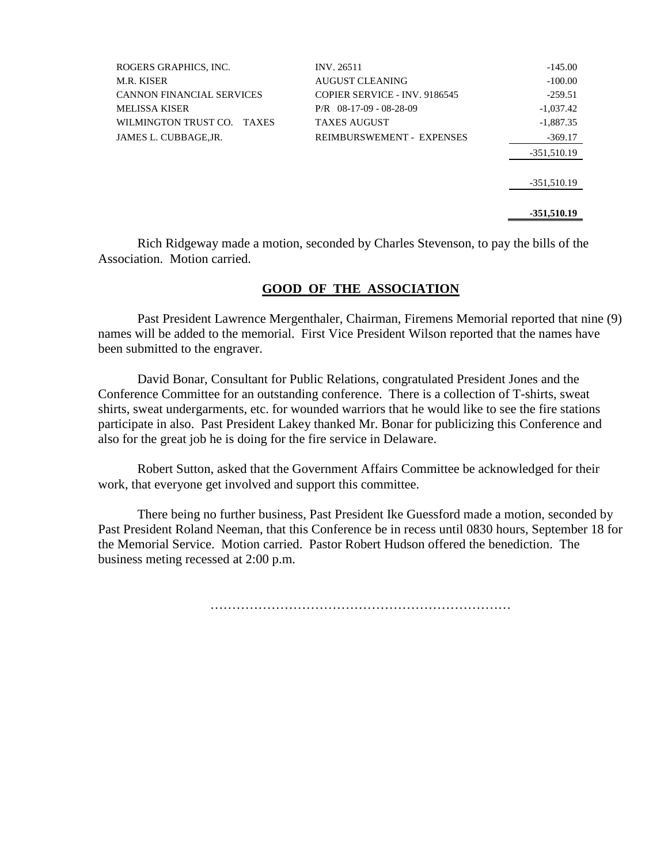| ROGERS GRAPHICS, INC.            | <b>INV. 26511</b>                | $-145.00$     |
|----------------------------------|----------------------------------|---------------|
| <b>M.R. KISER</b>                | AUGUST CLEANING                  | $-100.00$     |
| <b>CANNON FINANCIAL SERVICES</b> | COPIER SERVICE - INV. 9186545    | $-259.51$     |
| <b>MELISSA KISER</b>             | $P/R$ 08-17-09 - 08-28-09        | $-1.037.42$   |
| WILMINGTON TRUST CO. TAXES       | <b>TAXES AUGUST</b>              | $-1,887.35$   |
| JAMES L. CUBBAGE, JR.            | <b>REIMBURSWEMENT - EXPENSES</b> | $-369.17$     |
|                                  |                                  | $-351,510.19$ |
|                                  |                                  |               |
|                                  |                                  | $-351,510.19$ |
|                                  |                                  |               |
|                                  |                                  | -351,510.19   |

 Rich Ridgeway made a motion, seconded by Charles Stevenson, to pay the bills of the Association. Motion carried.

### **GOOD OF THE ASSOCIATION**

 Past President Lawrence Mergenthaler, Chairman, Firemens Memorial reported that nine (9) names will be added to the memorial. First Vice President Wilson reported that the names have been submitted to the engraver.

 David Bonar, Consultant for Public Relations, congratulated President Jones and the Conference Committee for an outstanding conference. There is a collection of T-shirts, sweat shirts, sweat undergarments, etc. for wounded warriors that he would like to see the fire stations participate in also. Past President Lakey thanked Mr. Bonar for publicizing this Conference and also for the great job he is doing for the fire service in Delaware.

 Robert Sutton, asked that the Government Affairs Committee be acknowledged for their work, that everyone get involved and support this committee.

 There being no further business, Past President Ike Guessford made a motion, seconded by Past President Roland Neeman, that this Conference be in recess until 0830 hours, September 18 for the Memorial Service. Motion carried. Pastor Robert Hudson offered the benediction. The business meting recessed at 2:00 p.m.

……………………………………………………………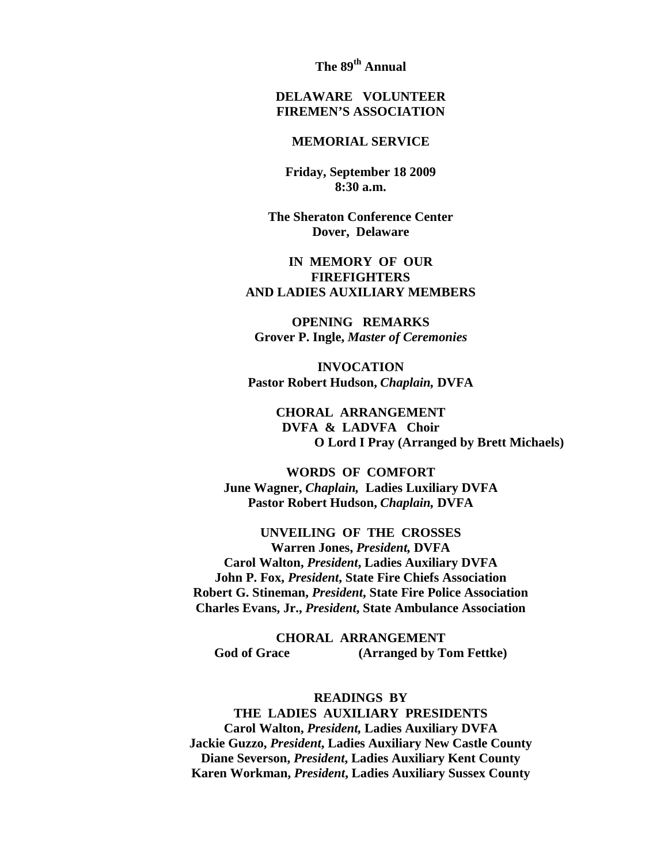**The 89th Annual** 

## **DELAWARE VOLUNTEER FIREMEN'S ASSOCIATION**

#### **MEMORIAL SERVICE**

**Friday, September 18 2009 8:30 a.m.** 

**The Sheraton Conference Center Dover, Delaware** 

## **IN MEMORY OF OUR FIREFIGHTERS AND LADIES AUXILIARY MEMBERS**

**OPENING REMARKS Grover P. Ingle,** *Master of Ceremonies* 

**INVOCATION Pastor Robert Hudson,** *Chaplain,* **DVFA** 

> **CHORAL ARRANGEMENT DVFA & LADVFA Choir O Lord I Pray (Arranged by Brett Michaels)**

**WORDS OF COMFORT June Wagner,** *Chaplain,* **Ladies Luxiliary DVFA Pastor Robert Hudson,** *Chaplain,* **DVFA** 

**UNVEILING OF THE CROSSES Warren Jones,** *President,* **DVFA Carol Walton,** *President***, Ladies Auxiliary DVFA John P. Fox,** *President***, State Fire Chiefs Association Robert G. Stineman,** *President***, State Fire Police Association Charles Evans, Jr.,** *President***, State Ambulance Association** 

**CHORAL ARRANGEMENT God of Grace (Arranged by Tom Fettke)** 

**READINGS BY THE LADIES AUXILIARY PRESIDENTS Carol Walton,** *President,* **Ladies Auxiliary DVFA Jackie Guzzo,** *President***, Ladies Auxiliary New Castle County Diane Severson,** *President***, Ladies Auxiliary Kent County Karen Workman,** *President***, Ladies Auxiliary Sussex County**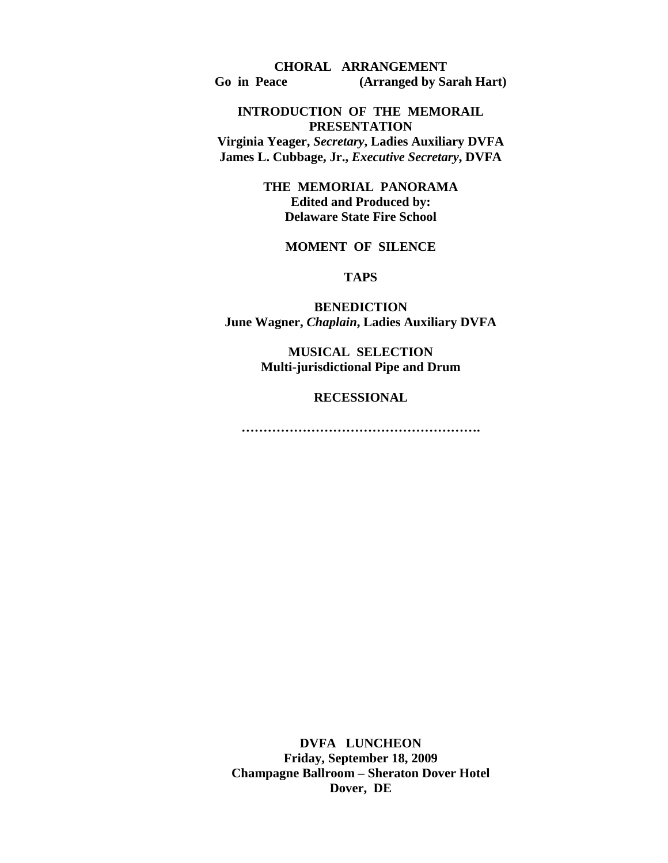**CHORAL ARRANGEMENT Go in Peace (Arranged by Sarah Hart)** 

### **INTRODUCTION OF THE MEMORAIL PRESENTATION**

**Virginia Yeager,** *Secretary***, Ladies Auxiliary DVFA James L. Cubbage, Jr.,** *Executive Secretary***, DVFA** 

> **THE MEMORIAL PANORAMA Edited and Produced by: Delaware State Fire School**

## **MOMENT OF SILENCE**

**TAPS** 

**BENEDICTION June Wagner,** *Chaplain***, Ladies Auxiliary DVFA** 

> **MUSICAL SELECTION Multi-jurisdictional Pipe and Drum**

> > **RECESSIONAL**

**……………………………………………….**

**DVFA LUNCHEON Friday, September 18, 2009 Champagne Ballroom – Sheraton Dover Hotel Dover, DE**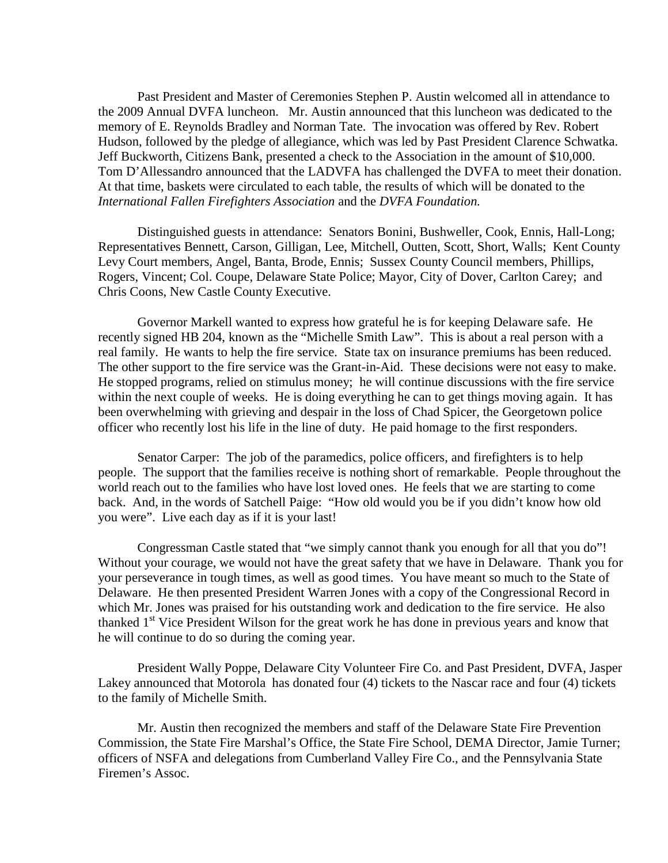Past President and Master of Ceremonies Stephen P. Austin welcomed all in attendance to the 2009 Annual DVFA luncheon. Mr. Austin announced that this luncheon was dedicated to the memory of E. Reynolds Bradley and Norman Tate. The invocation was offered by Rev. Robert Hudson, followed by the pledge of allegiance, which was led by Past President Clarence Schwatka. Jeff Buckworth, Citizens Bank, presented a check to the Association in the amount of \$10,000. Tom D'Allessandro announced that the LADVFA has challenged the DVFA to meet their donation. At that time, baskets were circulated to each table, the results of which will be donated to the *International Fallen Firefighters Association* and the *DVFA Foundation.*

 Distinguished guests in attendance: Senators Bonini, Bushweller, Cook, Ennis, Hall-Long; Representatives Bennett, Carson, Gilligan, Lee, Mitchell, Outten, Scott, Short, Walls; Kent County Levy Court members, Angel, Banta, Brode, Ennis; Sussex County Council members, Phillips, Rogers, Vincent; Col. Coupe, Delaware State Police; Mayor, City of Dover, Carlton Carey; and Chris Coons, New Castle County Executive.

 Governor Markell wanted to express how grateful he is for keeping Delaware safe. He recently signed HB 204, known as the "Michelle Smith Law". This is about a real person with a real family. He wants to help the fire service. State tax on insurance premiums has been reduced. The other support to the fire service was the Grant-in-Aid. These decisions were not easy to make. He stopped programs, relied on stimulus money; he will continue discussions with the fire service within the next couple of weeks. He is doing everything he can to get things moving again. It has been overwhelming with grieving and despair in the loss of Chad Spicer, the Georgetown police officer who recently lost his life in the line of duty. He paid homage to the first responders.

 Senator Carper: The job of the paramedics, police officers, and firefighters is to help people. The support that the families receive is nothing short of remarkable. People throughout the world reach out to the families who have lost loved ones. He feels that we are starting to come back. And, in the words of Satchell Paige: "How old would you be if you didn't know how old you were". Live each day as if it is your last!

 Congressman Castle stated that "we simply cannot thank you enough for all that you do"! Without your courage, we would not have the great safety that we have in Delaware. Thank you for your perseverance in tough times, as well as good times. You have meant so much to the State of Delaware. He then presented President Warren Jones with a copy of the Congressional Record in which Mr. Jones was praised for his outstanding work and dedication to the fire service. He also thanked  $1<sup>st</sup>$  Vice President Wilson for the great work he has done in previous years and know that he will continue to do so during the coming year.

 President Wally Poppe, Delaware City Volunteer Fire Co. and Past President, DVFA, Jasper Lakey announced that Motorola has donated four (4) tickets to the Nascar race and four (4) tickets to the family of Michelle Smith.

 Mr. Austin then recognized the members and staff of the Delaware State Fire Prevention Commission, the State Fire Marshal's Office, the State Fire School, DEMA Director, Jamie Turner; officers of NSFA and delegations from Cumberland Valley Fire Co., and the Pennsylvania State Firemen's Assoc.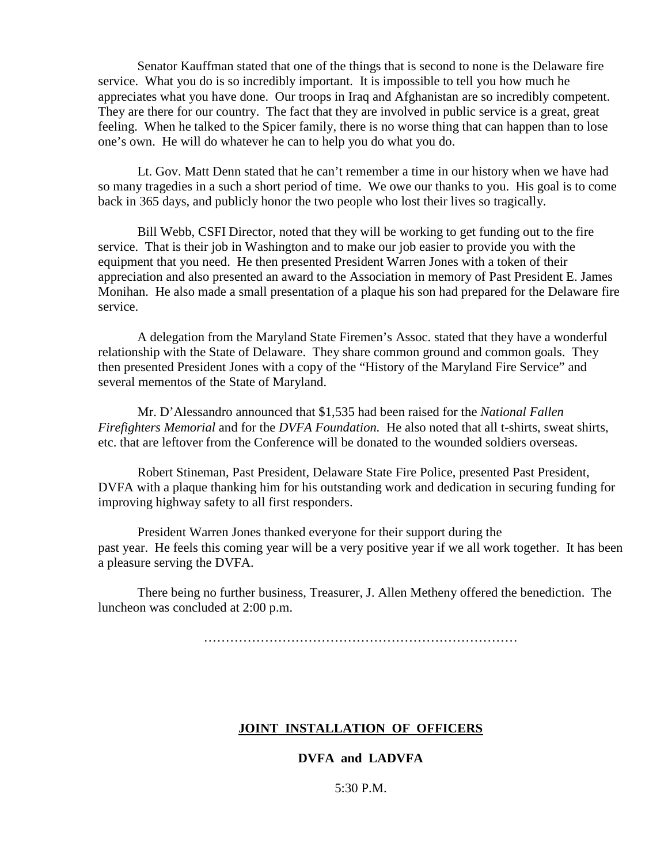Senator Kauffman stated that one of the things that is second to none is the Delaware fire service. What you do is so incredibly important. It is impossible to tell you how much he appreciates what you have done. Our troops in Iraq and Afghanistan are so incredibly competent. They are there for our country. The fact that they are involved in public service is a great, great feeling. When he talked to the Spicer family, there is no worse thing that can happen than to lose one's own. He will do whatever he can to help you do what you do.

 Lt. Gov. Matt Denn stated that he can't remember a time in our history when we have had so many tragedies in a such a short period of time. We owe our thanks to you. His goal is to come back in 365 days, and publicly honor the two people who lost their lives so tragically.

 Bill Webb, CSFI Director, noted that they will be working to get funding out to the fire service. That is their job in Washington and to make our job easier to provide you with the equipment that you need. He then presented President Warren Jones with a token of their appreciation and also presented an award to the Association in memory of Past President E. James Monihan. He also made a small presentation of a plaque his son had prepared for the Delaware fire service.

 A delegation from the Maryland State Firemen's Assoc. stated that they have a wonderful relationship with the State of Delaware. They share common ground and common goals. They then presented President Jones with a copy of the "History of the Maryland Fire Service" and several mementos of the State of Maryland.

 Mr. D'Alessandro announced that \$1,535 had been raised for the *National Fallen Firefighters Memorial* and for the *DVFA Foundation.* He also noted that all t-shirts, sweat shirts, etc. that are leftover from the Conference will be donated to the wounded soldiers overseas.

 Robert Stineman, Past President, Delaware State Fire Police, presented Past President, DVFA with a plaque thanking him for his outstanding work and dedication in securing funding for improving highway safety to all first responders.

 President Warren Jones thanked everyone for their support during the past year. He feels this coming year will be a very positive year if we all work together. It has been a pleasure serving the DVFA.

 There being no further business, Treasurer, J. Allen Metheny offered the benediction. The luncheon was concluded at 2:00 p.m.

………………………………………………………………

### **JOINT INSTALLATION OF OFFICERS**

### **DVFA and LADVFA**

5:30 P.M.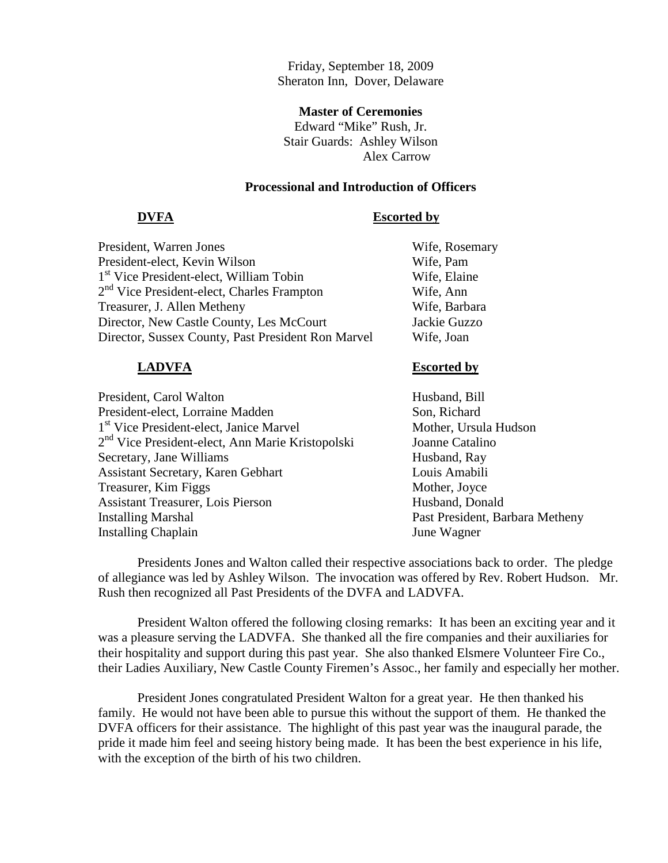Friday, September 18, 2009 Sheraton Inn, Dover, Delaware

#### **Master of Ceremonies**

Edward "Mike" Rush, Jr. Stair Guards: Ashley Wilson Alex Carrow

## **Processional and Introduction of Officers**

#### **DVFA Escorted by**

| President, Warren Jones                                | Wife, Rosemary |
|--------------------------------------------------------|----------------|
| President-elect, Kevin Wilson                          | Wife, Pam      |
| 1 <sup>st</sup> Vice President-elect, William Tobin    | Wife, Elaine   |
| 2 <sup>nd</sup> Vice President-elect, Charles Frampton | Wife, Ann      |
| Treasurer, J. Allen Metheny                            | Wife, Barbara  |
| Director, New Castle County, Les McCourt               | Jackie Guzzo   |
| Director, Sussex County, Past President Ron Marvel     | Wife, Joan     |
|                                                        |                |

| President, Carol Walton                                      |
|--------------------------------------------------------------|
| President-elect, Lorraine Madden                             |
| 1 <sup>st</sup> Vice President-elect, Janice Marvel          |
| 2 <sup>nd</sup> Vice President-elect, Ann Marie Kristopolski |
| Secretary, Jane Williams                                     |
| <b>Assistant Secretary, Karen Gebhart</b>                    |
| Treasurer, Kim Figgs                                         |
| <b>Assistant Treasurer, Lois Pierson</b>                     |
| <b>Installing Marshal</b>                                    |
| <b>Installing Chaplain</b>                                   |

### **LADVFA Escorted by**

Husband, Bill Son, Richard Mother, Ursula Hudson Joanne Catalino Husband, Ray Louis Amabili Mother, Joyce Husband, Donald Past President, Barbara Metheny June Wagner

 Presidents Jones and Walton called their respective associations back to order. The pledge of allegiance was led by Ashley Wilson. The invocation was offered by Rev. Robert Hudson. Mr. Rush then recognized all Past Presidents of the DVFA and LADVFA.

 President Walton offered the following closing remarks: It has been an exciting year and it was a pleasure serving the LADVFA. She thanked all the fire companies and their auxiliaries for their hospitality and support during this past year. She also thanked Elsmere Volunteer Fire Co., their Ladies Auxiliary, New Castle County Firemen's Assoc., her family and especially her mother.

 President Jones congratulated President Walton for a great year. He then thanked his family. He would not have been able to pursue this without the support of them. He thanked the DVFA officers for their assistance. The highlight of this past year was the inaugural parade, the pride it made him feel and seeing history being made. It has been the best experience in his life, with the exception of the birth of his two children.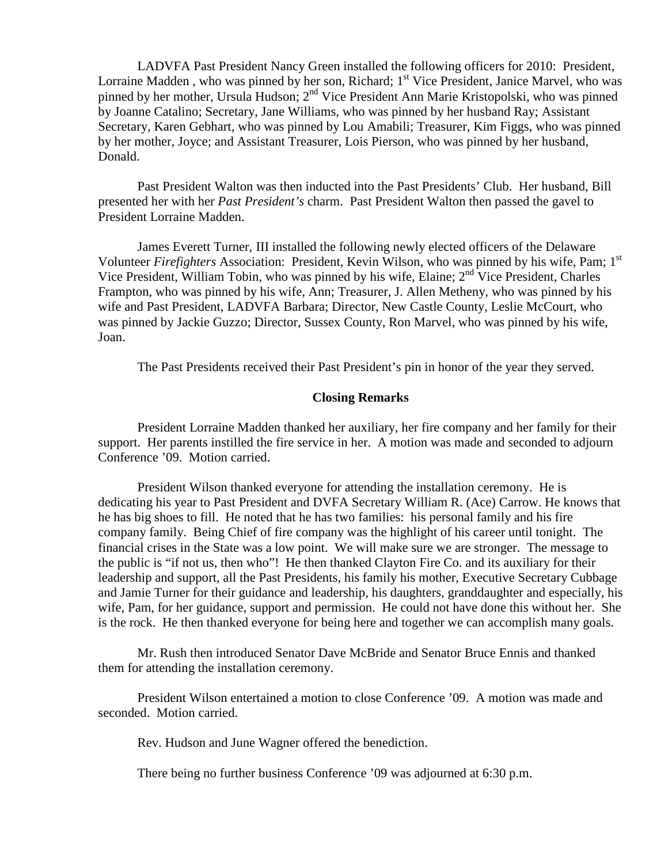LADVFA Past President Nancy Green installed the following officers for 2010: President, Lorraine Madden, who was pinned by her son, Richard; 1<sup>st</sup> Vice President, Janice Marvel, who was pinned by her mother, Ursula Hudson; 2nd Vice President Ann Marie Kristopolski, who was pinned by Joanne Catalino; Secretary, Jane Williams, who was pinned by her husband Ray; Assistant Secretary, Karen Gebhart, who was pinned by Lou Amabili; Treasurer, Kim Figgs, who was pinned by her mother, Joyce; and Assistant Treasurer, Lois Pierson, who was pinned by her husband, Donald.

 Past President Walton was then inducted into the Past Presidents' Club. Her husband, Bill presented her with her *Past President's* charm. Past President Walton then passed the gavel to President Lorraine Madden.

 James Everett Turner, III installed the following newly elected officers of the Delaware Volunteer *Firefighters* Association: President, Kevin Wilson, who was pinned by his wife, Pam; 1st Vice President, William Tobin, who was pinned by his wife, Elaine;  $2<sup>nd</sup>$  Vice President, Charles Frampton, who was pinned by his wife, Ann; Treasurer, J. Allen Metheny, who was pinned by his wife and Past President, LADVFA Barbara; Director, New Castle County, Leslie McCourt, who was pinned by Jackie Guzzo; Director, Sussex County, Ron Marvel, who was pinned by his wife, Joan.

The Past Presidents received their Past President's pin in honor of the year they served.

#### **Closing Remarks**

 President Lorraine Madden thanked her auxiliary, her fire company and her family for their support. Her parents instilled the fire service in her. A motion was made and seconded to adjourn Conference '09. Motion carried.

 President Wilson thanked everyone for attending the installation ceremony. He is dedicating his year to Past President and DVFA Secretary William R. (Ace) Carrow. He knows that he has big shoes to fill. He noted that he has two families: his personal family and his fire company family. Being Chief of fire company was the highlight of his career until tonight. The financial crises in the State was a low point. We will make sure we are stronger. The message to the public is "if not us, then who"! He then thanked Clayton Fire Co. and its auxiliary for their leadership and support, all the Past Presidents, his family his mother, Executive Secretary Cubbage and Jamie Turner for their guidance and leadership, his daughters, granddaughter and especially, his wife, Pam, for her guidance, support and permission. He could not have done this without her. She is the rock. He then thanked everyone for being here and together we can accomplish many goals.

 Mr. Rush then introduced Senator Dave McBride and Senator Bruce Ennis and thanked them for attending the installation ceremony.

 President Wilson entertained a motion to close Conference '09. A motion was made and seconded. Motion carried.

Rev. Hudson and June Wagner offered the benediction.

There being no further business Conference '09 was adjourned at 6:30 p.m.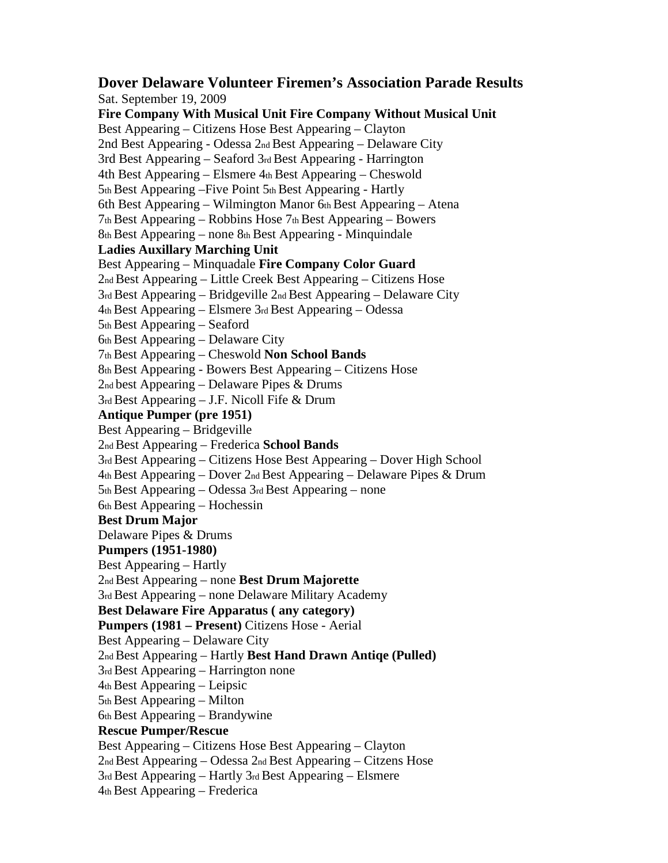**Dover Delaware Volunteer Firemen's Association Parade Results**  Sat. September 19, 2009 **Fire Company With Musical Unit Fire Company Without Musical Unit**  Best Appearing – Citizens Hose Best Appearing – Clayton 2nd Best Appearing - Odessa 2nd Best Appearing – Delaware City 3rd Best Appearing – Seaford 3rd Best Appearing - Harrington 4th Best Appearing – Elsmere 4th Best Appearing – Cheswold 5th Best Appearing –Five Point 5th Best Appearing - Hartly 6th Best Appearing – Wilmington Manor 6th Best Appearing – Atena 7th Best Appearing – Robbins Hose 7th Best Appearing – Bowers 8th Best Appearing – none 8th Best Appearing - Minquindale **Ladies Auxillary Marching Unit**  Best Appearing – Minquadale **Fire Company Color Guard**  2nd Best Appearing – Little Creek Best Appearing – Citizens Hose 3rd Best Appearing – Bridgeville 2nd Best Appearing – Delaware City 4th Best Appearing – Elsmere 3rd Best Appearing – Odessa 5th Best Appearing – Seaford 6th Best Appearing – Delaware City 7th Best Appearing – Cheswold **Non School Bands**  8th Best Appearing - Bowers Best Appearing – Citizens Hose 2nd best Appearing – Delaware Pipes & Drums 3rd Best Appearing – J.F. Nicoll Fife & Drum **Antique Pumper (pre 1951)**  Best Appearing – Bridgeville 2nd Best Appearing – Frederica **School Bands**  3rd Best Appearing – Citizens Hose Best Appearing – Dover High School 4th Best Appearing – Dover 2nd Best Appearing – Delaware Pipes & Drum 5th Best Appearing – Odessa 3rd Best Appearing – none 6th Best Appearing – Hochessin **Best Drum Major**  Delaware Pipes & Drums **Pumpers (1951-1980)**  Best Appearing – Hartly 2nd Best Appearing – none **Best Drum Majorette**  3rd Best Appearing – none Delaware Military Academy **Best Delaware Fire Apparatus ( any category) Pumpers (1981 – Present)** Citizens Hose - Aerial Best Appearing – Delaware City 2nd Best Appearing – Hartly **Best Hand Drawn Antiqe (Pulled)**  3rd Best Appearing – Harrington none 4th Best Appearing – Leipsic 5th Best Appearing – Milton 6th Best Appearing – Brandywine **Rescue Pumper/Rescue**  Best Appearing – Citizens Hose Best Appearing – Clayton 2nd Best Appearing – Odessa 2nd Best Appearing – Citzens Hose 3rd Best Appearing – Hartly 3rd Best Appearing – Elsmere 4th Best Appearing – Frederica